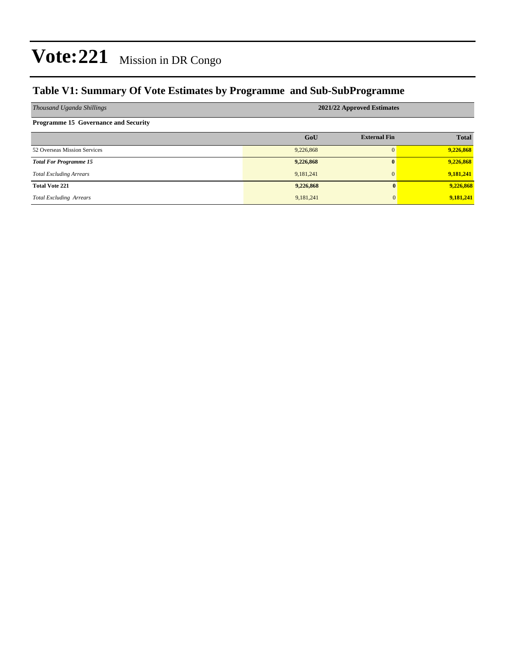### **Table V1: Summary Of Vote Estimates by Programme and Sub-SubProgramme**

| Thousand Uganda Shillings                   | 2021/22 Approved Estimates |                     |              |  |  |  |  |
|---------------------------------------------|----------------------------|---------------------|--------------|--|--|--|--|
| <b>Programme 15 Governance and Security</b> |                            |                     |              |  |  |  |  |
|                                             | GoU                        | <b>External Fin</b> | <b>Total</b> |  |  |  |  |
| 52 Overseas Mission Services                | 9,226,868                  |                     | 9,226,868    |  |  |  |  |
| <b>Total For Programme 15</b>               | 9,226,868                  | 0                   | 9,226,868    |  |  |  |  |
| <b>Total Excluding Arrears</b>              | 9,181,241                  |                     | 9,181,241    |  |  |  |  |
| <b>Total Vote 221</b>                       | 9,226,868                  | 0                   | 9,226,868    |  |  |  |  |
| <b>Total Excluding Arrears</b>              | 9,181,241                  | $\mathbf{0}$        | 9,181,241    |  |  |  |  |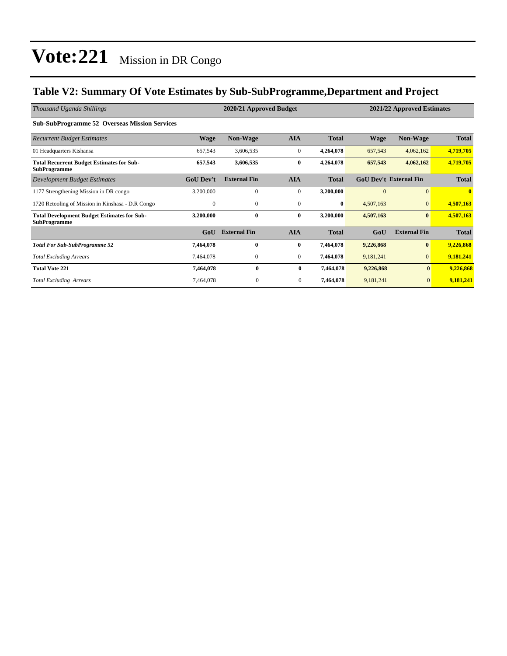### **Table V2: Summary Of Vote Estimates by Sub-SubProgramme,Department and Project**

| Thousand Uganda Shillings                                                 |                  | 2020/21 Approved Budget |              |              | 2021/22 Approved Estimates |                               |              |
|---------------------------------------------------------------------------|------------------|-------------------------|--------------|--------------|----------------------------|-------------------------------|--------------|
| <b>Sub-SubProgramme 52 Overseas Mission Services</b>                      |                  |                         |              |              |                            |                               |              |
| <b>Recurrent Budget Estimates</b>                                         | Wage             | <b>Non-Wage</b>         | <b>AIA</b>   | <b>Total</b> | <b>Wage</b>                | <b>Non-Wage</b>               | <b>Total</b> |
| 01 Headquarters Kishansa                                                  | 657,543          | 3,606,535               | $\mathbf{0}$ | 4,264,078    | 657,543                    | 4,062,162                     | 4,719,705    |
| <b>Total Recurrent Budget Estimates for Sub-</b><br><b>SubProgramme</b>   | 657,543          | 3,606,535               | $\bf{0}$     | 4,264,078    | 657,543                    | 4,062,162                     | 4,719,705    |
| <b>Development Budget Estimates</b>                                       | <b>GoU Dev't</b> | <b>External Fin</b>     | <b>AIA</b>   | <b>Total</b> |                            | <b>GoU Dev't External Fin</b> | <b>Total</b> |
| 1177 Strengthening Mission in DR congo                                    | 3,200,000        | $\Omega$                | $\mathbf{0}$ | 3,200,000    | $\Omega$                   | $\Omega$                      | $\mathbf{0}$ |
| 1720 Retooling of Mission in Kinshasa - D.R Congo                         | $\mathbf{0}$     | $\mathbf{0}$            | $\mathbf{0}$ | $\bf{0}$     | 4,507,163                  | $\mathbf{0}$                  | 4,507,163    |
| <b>Total Development Budget Estimates for Sub-</b><br><b>SubProgramme</b> | 3,200,000        | $\bf{0}$                | $\bf{0}$     | 3,200,000    | 4,507,163                  | $\bf{0}$                      | 4,507,163    |
|                                                                           | GoU              | <b>External Fin</b>     | <b>AIA</b>   | <b>Total</b> | GoU                        | <b>External Fin</b>           | <b>Total</b> |
| <b>Total For Sub-SubProgramme 52</b>                                      | 7,464,078        | $\bf{0}$                | $\bf{0}$     | 7,464,078    | 9,226,868                  | $\bf{0}$                      | 9,226,868    |
| <b>Total Excluding Arrears</b>                                            | 7,464,078        | $\mathbf{0}$            | $\mathbf{0}$ | 7,464,078    | 9,181,241                  | $\overline{0}$                | 9,181,241    |
| <b>Total Vote 221</b>                                                     | 7,464,078        | $\bf{0}$                | $\bf{0}$     | 7,464,078    | 9,226,868                  | $\bf{0}$                      | 9,226,868    |
| <b>Total Excluding Arrears</b>                                            | 7,464,078        | $\theta$                | $\mathbf{0}$ | 7,464,078    | 9,181,241                  | $\overline{0}$                | 9,181,241    |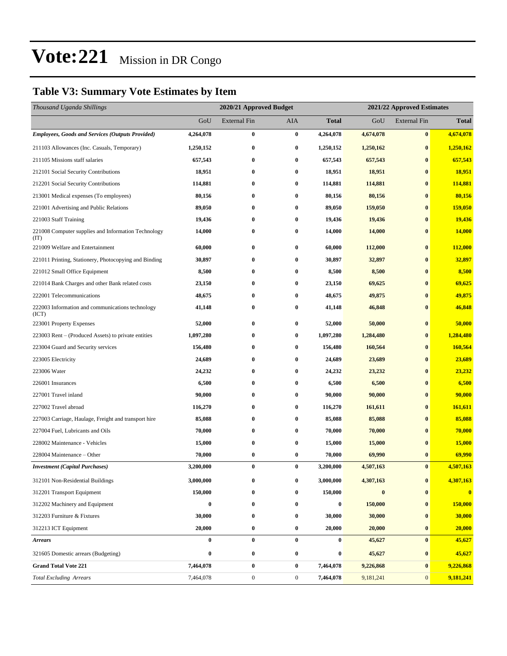### **Table V3: Summary Vote Estimates by Item**

| Thousand Uganda Shillings                                   | 2020/21 Approved Budget |                     |                  |              | 2021/22 Approved Estimates |                     |              |  |
|-------------------------------------------------------------|-------------------------|---------------------|------------------|--------------|----------------------------|---------------------|--------------|--|
|                                                             | GoU                     | <b>External Fin</b> | AIA              | <b>Total</b> | GoU                        | <b>External Fin</b> | <b>Total</b> |  |
| <b>Employees, Goods and Services (Outputs Provided)</b>     | 4,264,078               | $\bf{0}$            | $\bf{0}$         | 4,264,078    | 4,674,078                  | $\bf{0}$            | 4,674,078    |  |
| 211103 Allowances (Inc. Casuals, Temporary)                 | 1,250,152               | $\bf{0}$            | $\bf{0}$         | 1,250,152    | 1,250,162                  | $\bf{0}$            | 1,250,162    |  |
| 211105 Missions staff salaries                              | 657,543                 | $\bf{0}$            | $\bf{0}$         | 657,543      | 657,543                    | $\bf{0}$            | 657,543      |  |
| 212101 Social Security Contributions                        | 18,951                  | $\bf{0}$            | $\bf{0}$         | 18,951       | 18,951                     | $\bf{0}$            | 18,951       |  |
| 212201 Social Security Contributions                        | 114,881                 | 0                   | $\bf{0}$         | 114,881      | 114,881                    | $\bf{0}$            | 114,881      |  |
| 213001 Medical expenses (To employees)                      | 80,156                  | $\bf{0}$            | $\bf{0}$         | 80,156       | 80,156                     | $\bf{0}$            | 80,156       |  |
| 221001 Advertising and Public Relations                     | 89,050                  | 0                   | $\bf{0}$         | 89,050       | 159,050                    | $\bf{0}$            | 159,050      |  |
| 221003 Staff Training                                       | 19,436                  | 0                   | $\bf{0}$         | 19,436       | 19,436                     | $\bf{0}$            | 19,436       |  |
| 221008 Computer supplies and Information Technology<br>(TT) | 14,000                  | $\bf{0}$            | $\bf{0}$         | 14,000       | 14,000                     | $\bf{0}$            | 14,000       |  |
| 221009 Welfare and Entertainment                            | 60,000                  | $\bf{0}$            | $\bf{0}$         | 60,000       | 112,000                    | $\bf{0}$            | 112,000      |  |
| 221011 Printing, Stationery, Photocopying and Binding       | 30,897                  | 0                   | $\bf{0}$         | 30,897       | 32,897                     | $\bf{0}$            | 32,897       |  |
| 221012 Small Office Equipment                               | 8,500                   | $\bf{0}$            | $\bf{0}$         | 8,500        | 8,500                      | $\bf{0}$            | 8,500        |  |
| 221014 Bank Charges and other Bank related costs            | 23,150                  | $\bf{0}$            | $\bf{0}$         | 23,150       | 69,625                     | $\bf{0}$            | 69,625       |  |
| 222001 Telecommunications                                   | 48,675                  | 0                   | $\bf{0}$         | 48,675       | 49,875                     | $\bf{0}$            | 49,875       |  |
| 222003 Information and communications technology<br>(ICT)   | 41,148                  | $\bf{0}$            | $\bf{0}$         | 41,148       | 46,848                     | $\bf{0}$            | 46,848       |  |
| 223001 Property Expenses                                    | 52,000                  | $\bf{0}$            | $\bf{0}$         | 52,000       | 50,000                     | $\bf{0}$            | 50,000       |  |
| 223003 Rent – (Produced Assets) to private entities         | 1,097,280               | 0                   | $\bf{0}$         | 1,097,280    | 1,284,480                  | $\bf{0}$            | 1,284,480    |  |
| 223004 Guard and Security services                          | 156,480                 | $\bf{0}$            | $\bf{0}$         | 156,480      | 160,564                    | $\bf{0}$            | 160,564      |  |
| 223005 Electricity                                          | 24,689                  | 0                   | $\bf{0}$         | 24,689       | 23,689                     | $\bf{0}$            | 23,689       |  |
| 223006 Water                                                | 24,232                  | 0                   | $\bf{0}$         | 24,232       | 23,232                     | $\bf{0}$            | 23,232       |  |
| 226001 Insurances                                           | 6,500                   | $\bf{0}$            | $\bf{0}$         | 6,500        | 6,500                      | $\bf{0}$            | 6,500        |  |
| 227001 Travel inland                                        | 90,000                  | 0                   | $\bf{0}$         | 90,000       | 90,000                     | $\bf{0}$            | 90,000       |  |
| 227002 Travel abroad                                        | 116,270                 | $\bf{0}$            | $\bf{0}$         | 116,270      | 161,611                    | $\bf{0}$            | 161,611      |  |
| 227003 Carriage, Haulage, Freight and transport hire        | 85,088                  | 0                   | $\bf{0}$         | 85,088       | 85,088                     | $\bf{0}$            | 85,088       |  |
| 227004 Fuel, Lubricants and Oils                            | 70,000                  | 0                   | $\bf{0}$         | 70,000       | 70,000                     | $\bf{0}$            | 70,000       |  |
| 228002 Maintenance - Vehicles                               | 15,000                  | $\bf{0}$            | $\bf{0}$         | 15,000       | 15,000                     | $\bf{0}$            | 15,000       |  |
| 228004 Maintenance – Other                                  | 70,000                  | $\bf{0}$            | $\bf{0}$         | 70,000       | 69,990                     | $\bf{0}$            | 69,990       |  |
| <b>Investment</b> (Capital Purchases)                       | 3,200,000               | $\bf{0}$            | $\bf{0}$         | 3,200,000    | 4,507,163                  | $\bf{0}$            | 4,507,163    |  |
| 312101 Non-Residential Buildings                            | 3,000,000               | 0                   | $\bf{0}$         | 3,000,000    | 4,307,163                  | $\bf{0}$            | 4,307,163    |  |
| 312201 Transport Equipment                                  | 150,000                 | $\bf{0}$            | $\bf{0}$         | 150,000      | $\bf{0}$                   | $\bf{0}$            | $\bf{0}$     |  |
| 312202 Machinery and Equipment                              | $\bf{0}$                | $\bf{0}$            | $\bf{0}$         | $\bf{0}$     | 150,000                    | $\bf{0}$            | 150,000      |  |
| 312203 Furniture & Fixtures                                 | 30,000                  | $\bf{0}$            | $\bf{0}$         | 30,000       | 30,000                     | $\bf{0}$            | 30,000       |  |
| 312213 ICT Equipment                                        | 20,000                  | $\bf{0}$            | $\bf{0}$         | 20,000       | 20,000                     | $\bf{0}$            | 20,000       |  |
| <b>Arrears</b>                                              | $\bf{0}$                | $\bf{0}$            | $\bf{0}$         | 0            | 45,627                     | $\bf{0}$            | 45,627       |  |
| 321605 Domestic arrears (Budgeting)                         | 0                       | $\bf{0}$            | $\bf{0}$         | 0            | 45,627                     | $\bf{0}$            | 45,627       |  |
| <b>Grand Total Vote 221</b>                                 | 7,464,078               | $\pmb{0}$           | $\bf{0}$         | 7,464,078    | 9,226,868                  | $\bf{0}$            | 9,226,868    |  |
| <b>Total Excluding Arrears</b>                              | 7,464,078               | $\boldsymbol{0}$    | $\boldsymbol{0}$ | 7,464,078    | 9,181,241                  | $\mathbf{0}$        | 9,181,241    |  |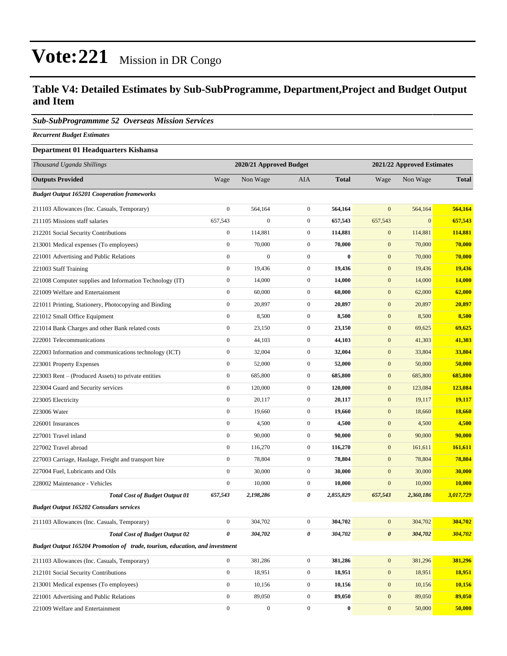### **Table V4: Detailed Estimates by Sub-SubProgramme, Department,Project and Budget Output and Item**

#### *Sub-SubProgrammme 52 Overseas Mission Services*

*Recurrent Budget Estimates*

#### **Department 01 Headquarters Kishansa**

| Thousand Uganda Shillings                                                   | 2020/21 Approved Budget |                  |                  | 2021/22 Approved Estimates |                  |              |               |
|-----------------------------------------------------------------------------|-------------------------|------------------|------------------|----------------------------|------------------|--------------|---------------|
| <b>Outputs Provided</b>                                                     | Wage                    | Non Wage         | <b>AIA</b>       | <b>Total</b>               | Wage             | Non Wage     | <b>Total</b>  |
| <b>Budget Output 165201 Cooperation frameworks</b>                          |                         |                  |                  |                            |                  |              |               |
| 211103 Allowances (Inc. Casuals, Temporary)                                 | $\boldsymbol{0}$        | 564,164          | $\boldsymbol{0}$ | 564,164                    | $\mathbf{0}$     | 564,164      | 564,164       |
| 211105 Missions staff salaries                                              | 657,543                 | $\boldsymbol{0}$ | $\boldsymbol{0}$ | 657,543                    | 657,543          | $\mathbf{0}$ | 657,543       |
| 212201 Social Security Contributions                                        | $\boldsymbol{0}$        | 114,881          | $\boldsymbol{0}$ | 114,881                    | $\mathbf{0}$     | 114,881      | 114,881       |
| 213001 Medical expenses (To employees)                                      | $\boldsymbol{0}$        | 70,000           | $\boldsymbol{0}$ | 70,000                     | $\mathbf{0}$     | 70,000       | 70,000        |
| 221001 Advertising and Public Relations                                     | $\boldsymbol{0}$        | $\boldsymbol{0}$ | $\boldsymbol{0}$ | $\bf{0}$                   | $\mathbf{0}$     | 70,000       | 70,000        |
| 221003 Staff Training                                                       | $\boldsymbol{0}$        | 19,436           | $\boldsymbol{0}$ | 19,436                     | $\mathbf{0}$     | 19,436       | 19,436        |
| 221008 Computer supplies and Information Technology (IT)                    | $\boldsymbol{0}$        | 14,000           | $\boldsymbol{0}$ | 14,000                     | $\mathbf{0}$     | 14,000       | <b>14,000</b> |
| 221009 Welfare and Entertainment                                            | $\boldsymbol{0}$        | 60,000           | $\boldsymbol{0}$ | 60,000                     | $\mathbf{0}$     | 62,000       | 62,000        |
| 221011 Printing, Stationery, Photocopying and Binding                       | $\boldsymbol{0}$        | 20,897           | $\boldsymbol{0}$ | 20,897                     | $\mathbf{0}$     | 20,897       | 20,897        |
| 221012 Small Office Equipment                                               | $\boldsymbol{0}$        | 8,500            | $\boldsymbol{0}$ | 8,500                      | $\mathbf{0}$     | 8,500        | 8,500         |
| 221014 Bank Charges and other Bank related costs                            | $\boldsymbol{0}$        | 23,150           | $\boldsymbol{0}$ | 23,150                     | $\mathbf{0}$     | 69,625       | 69,625        |
| 222001 Telecommunications                                                   | $\boldsymbol{0}$        | 44,103           | $\boldsymbol{0}$ | 44,103                     | $\mathbf{0}$     | 41,303       | 41,303        |
| 222003 Information and communications technology (ICT)                      | $\boldsymbol{0}$        | 32,004           | $\boldsymbol{0}$ | 32,004                     | $\mathbf{0}$     | 33,804       | 33,804        |
| 223001 Property Expenses                                                    | $\boldsymbol{0}$        | 52,000           | $\boldsymbol{0}$ | 52,000                     | $\mathbf{0}$     | 50,000       | 50,000        |
| 223003 Rent – (Produced Assets) to private entities                         | $\boldsymbol{0}$        | 685,800          | $\boldsymbol{0}$ | 685,800                    | $\mathbf{0}$     | 685,800      | 685,800       |
| 223004 Guard and Security services                                          | $\boldsymbol{0}$        | 120,000          | $\boldsymbol{0}$ | 120,000                    | $\mathbf{0}$     | 123,084      | 123,084       |
| 223005 Electricity                                                          | $\boldsymbol{0}$        | 20,117           | $\boldsymbol{0}$ | 20,117                     | $\mathbf{0}$     | 19,117       | 19,117        |
| 223006 Water                                                                | $\boldsymbol{0}$        | 19,660           | $\boldsymbol{0}$ | 19,660                     | $\mathbf{0}$     | 18,660       | 18,660        |
| 226001 Insurances                                                           | $\boldsymbol{0}$        | 4,500            | $\boldsymbol{0}$ | 4,500                      | $\mathbf{0}$     | 4,500        | 4,500         |
| 227001 Travel inland                                                        | $\boldsymbol{0}$        | 90,000           | $\boldsymbol{0}$ | 90,000                     | $\mathbf{0}$     | 90,000       | 90,000        |
| 227002 Travel abroad                                                        | $\boldsymbol{0}$        | 116,270          | $\boldsymbol{0}$ | 116,270                    | $\mathbf{0}$     | 161,611      | 161,611       |
| 227003 Carriage, Haulage, Freight and transport hire                        | $\boldsymbol{0}$        | 78,804           | $\boldsymbol{0}$ | 78,804                     | $\mathbf{0}$     | 78,804       | 78,804        |
| 227004 Fuel, Lubricants and Oils                                            | $\boldsymbol{0}$        | 30,000           | $\boldsymbol{0}$ | 30,000                     | $\mathbf{0}$     | 30,000       | 30,000        |
| 228002 Maintenance - Vehicles                                               | $\boldsymbol{0}$        | 10,000           | $\boldsymbol{0}$ | 10,000                     | $\boldsymbol{0}$ | 10,000       | <b>10,000</b> |
| <b>Total Cost of Budget Output 01</b>                                       | 657,543                 | 2,198,286        | 0                | 2,855,829                  | 657,543          | 2,360,186    | 3,017,729     |
| <b>Budget Output 165202 Consulars services</b>                              |                         |                  |                  |                            |                  |              |               |
| 211103 Allowances (Inc. Casuals, Temporary)                                 | $\boldsymbol{0}$        | 304,702          | $\boldsymbol{0}$ | 304,702                    | $\mathbf{0}$     | 304,702      | 304,702       |
| <b>Total Cost of Budget Output 02</b>                                       | $\pmb{\theta}$          | 304,702          | 0                | 304,702                    | $\pmb{\theta}$   | 304,702      | 304,702       |
| Budget Output 165204 Promotion of trade, tourism, education, and investment |                         |                  |                  |                            |                  |              |               |
| 211103 Allowances (Inc. Casuals, Temporary)                                 | $\mathbf{0}$            | 381,286          | $\boldsymbol{0}$ | 381,286                    | $\mathbf{0}$     | 381,296      | 381,296       |
| 212101 Social Security Contributions                                        | $\boldsymbol{0}$        | 18,951           | $\boldsymbol{0}$ | 18,951                     | $\mathbf{0}$     | 18,951       | <b>18,951</b> |
| 213001 Medical expenses (To employees)                                      | $\boldsymbol{0}$        | 10,156           | $\boldsymbol{0}$ | 10,156                     | $\mathbf{0}$     | 10,156       | 10,156        |
| 221001 Advertising and Public Relations                                     | $\mathbf{0}$            | 89,050           | $\boldsymbol{0}$ | 89,050                     | $\mathbf{0}$     | 89,050       | 89,050        |
| 221009 Welfare and Entertainment                                            | $\boldsymbol{0}$        | $\boldsymbol{0}$ | $\boldsymbol{0}$ | $\boldsymbol{0}$           | $\bf{0}$         | 50,000       | 50,000        |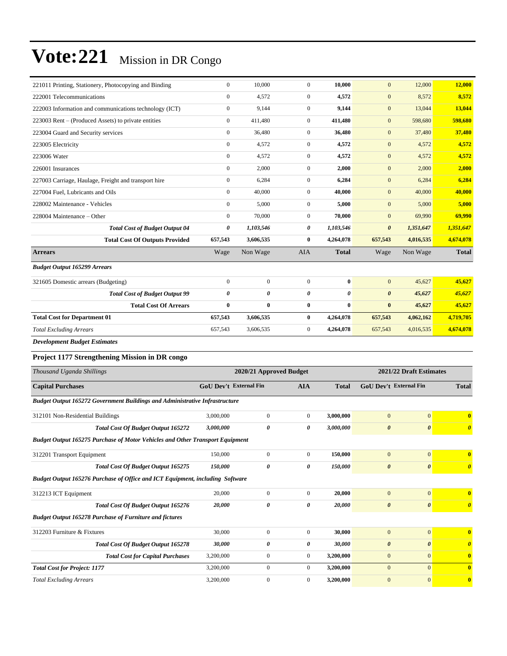| 221011 Printing, Stationery, Photocopying and Binding                                | $\boldsymbol{0}$       | 10,000                  | $\boldsymbol{0}$ | 10,000                | $\mathbf{0}$          | 12,000                  | 12,000                |
|--------------------------------------------------------------------------------------|------------------------|-------------------------|------------------|-----------------------|-----------------------|-------------------------|-----------------------|
| 222001 Telecommunications                                                            | $\boldsymbol{0}$       | 4,572                   | $\boldsymbol{0}$ | 4,572                 | $\mathbf{0}$          | 8,572                   | 8,572                 |
| 222003 Information and communications technology (ICT)                               | $\boldsymbol{0}$       | 9,144                   | $\overline{0}$   | 9,144                 | $\mathbf{0}$          | 13,044                  | 13,044                |
| 223003 Rent – (Produced Assets) to private entities                                  | $\mathbf{0}$           | 411,480                 | $\boldsymbol{0}$ | 411,480               | $\mathbf{0}$          | 598,680                 | 598,680               |
| 223004 Guard and Security services                                                   | $\mathbf{0}$           | 36,480                  | $\mathbf{0}$     | 36,480                | $\mathbf{0}$          | 37,480                  | 37,480                |
| 223005 Electricity                                                                   | $\boldsymbol{0}$       | 4,572                   | $\boldsymbol{0}$ | 4,572                 | $\mathbf{0}$          | 4,572                   | 4,572                 |
| 223006 Water                                                                         | $\boldsymbol{0}$       | 4,572                   | $\overline{0}$   | 4,572                 | $\mathbf{0}$          | 4,572                   | 4,572                 |
| 226001 Insurances                                                                    | $\boldsymbol{0}$       | 2,000                   | $\mathbf{0}$     | 2,000                 | $\mathbf{0}$          | 2,000                   | 2,000                 |
| 227003 Carriage, Haulage, Freight and transport hire                                 | $\boldsymbol{0}$       | 6,284                   | $\mathbf{0}$     | 6,284                 | $\mathbf{0}$          | 6,284                   | 6,284                 |
| 227004 Fuel, Lubricants and Oils                                                     | $\mathbf{0}$           | 40,000                  | $\mathbf{0}$     | 40,000                | $\mathbf{0}$          | 40,000                  | 40,000                |
| 228002 Maintenance - Vehicles                                                        | $\boldsymbol{0}$       | 5,000                   | $\boldsymbol{0}$ | 5,000                 | $\mathbf{0}$          | 5,000                   | 5,000                 |
| 228004 Maintenance – Other                                                           | $\boldsymbol{0}$       | 70,000                  | $\mathbf{0}$     | 70,000                | $\mathbf{0}$          | 69,990                  | 69,990                |
| <b>Total Cost of Budget Output 04</b>                                                | 0                      | 1,103,546               | 0                | 1,103,546             | $\boldsymbol{\theta}$ | 1,351,647               | 1,351,647             |
| <b>Total Cost Of Outputs Provided</b>                                                | 657,543                | 3,606,535               | $\bf{0}$         | 4,264,078             | 657,543               | 4,016,535               | 4,674,078             |
| <b>Arrears</b>                                                                       | Wage                   | Non Wage                | AIA              | <b>Total</b>          | Wage                  | Non Wage                | <b>Total</b>          |
| <b>Budget Output 165299 Arrears</b>                                                  |                        |                         |                  |                       |                       |                         |                       |
| 321605 Domestic arrears (Budgeting)                                                  | $\boldsymbol{0}$       | $\boldsymbol{0}$        | $\boldsymbol{0}$ | $\bf{0}$              | $\mathbf{0}$          | 45,627                  | 45,627                |
| <b>Total Cost of Budget Output 99</b>                                                | $\pmb{\theta}$         | 0                       | 0                | $\boldsymbol{\theta}$ | $\boldsymbol{\theta}$ | 45,627                  | 45,627                |
| <b>Total Cost Of Arrears</b>                                                         | $\bf{0}$               | $\bf{0}$                | $\bf{0}$         | $\bf{0}$              | $\bf{0}$              | 45,627                  | 45,627                |
| <b>Total Cost for Department 01</b>                                                  | 657,543                | 3,606,535               | $\bf{0}$         | 4,264,078             | 657,543               | 4,062,162               | 4,719,705             |
| <b>Total Excluding Arrears</b>                                                       | 657,543                | 3,606,535               | $\boldsymbol{0}$ | 4,264,078             | 657,543               | 4,016,535               | 4,674,078             |
| <b>Development Budget Estimates</b>                                                  |                        |                         |                  |                       |                       |                         |                       |
| <b>Project 1177 Strengthening Mission in DR congo</b>                                |                        |                         |                  |                       |                       |                         |                       |
| Thousand Uganda Shillings                                                            |                        | 2020/21 Approved Budget |                  |                       |                       | 2021/22 Draft Estimates |                       |
| <b>Capital Purchases</b>                                                             | GoU Dev't External Fin |                         | AIA              | <b>Total</b>          |                       | GoU Dev't External Fin  | <b>Total</b>          |
| Budget Output 165272 Government Buildings and Administrative Infrastructure          |                        |                         |                  |                       |                       |                         |                       |
| 312101 Non-Residential Buildings                                                     | 3,000,000              | $\boldsymbol{0}$        | $\boldsymbol{0}$ | 3,000,000             | $\mathbf{0}$          | $\mathbf{0}$            | $\bf{0}$              |
| Total Cost Of Budget Output 165272                                                   | 3.000.000              | 0                       | 0                | 3,000,000             | $\boldsymbol{\theta}$ | $\boldsymbol{\theta}$   | $\boldsymbol{\theta}$ |
| <b>Budget Output 165275 Purchase of Motor Vehicles and Other Transport Equipment</b> |                        |                         |                  |                       |                       |                         |                       |
| 312201 Transport Equipment                                                           | 150,000                | $\boldsymbol{0}$        | $\boldsymbol{0}$ | 150,000               | $\boldsymbol{0}$      | $\mathbf{0}$            | $\bf{0}$              |
| Total Cost Of Budget Output 165275                                                   | 150,000                | 0                       | 0                | 150,000               | $\boldsymbol{\theta}$ | $\boldsymbol{\theta}$   | $\boldsymbol{\theta}$ |
| Budget Output 165276 Purchase of Office and ICT Equipment, including Software        |                        |                         |                  |                       |                       |                         |                       |
| 312213 ICT Equipment                                                                 | 20,000                 | $\boldsymbol{0}$        | $\boldsymbol{0}$ | 20,000                | $\mathbf{0}$          | $\mathbf{0}$            | $\bf{0}$              |
| Total Cost Of Budget Output 165276                                                   | 20,000                 | 0                       | 0                | 20,000                | $\boldsymbol{\theta}$ | $\boldsymbol{\theta}$   | $\boldsymbol{\theta}$ |
| <b>Budget Output 165278 Purchase of Furniture and fictures</b>                       |                        |                         |                  |                       |                       |                         |                       |
|                                                                                      |                        |                         |                  |                       |                       |                         |                       |
| 312203 Furniture & Fixtures                                                          | 30,000                 | $\boldsymbol{0}$        | $\boldsymbol{0}$ | 30,000                | $\mathbf{0}$          | $\mathbf{0}$            | $\bf{0}$              |
| <b>Total Cost Of Budget Output 165278</b>                                            | 30,000                 | 0                       | 0                | 30,000                | $\boldsymbol{\theta}$ | $\boldsymbol{\theta}$   | $\boldsymbol{\theta}$ |
| <b>Total Cost for Capital Purchases</b>                                              | 3,200,000              | $\boldsymbol{0}$        | $\boldsymbol{0}$ | 3,200,000             | $\boldsymbol{0}$      | $\mathbf{0}$            | $\bf{0}$              |
| <b>Total Cost for Project: 1177</b>                                                  | 3,200,000              | $\boldsymbol{0}$        | $\boldsymbol{0}$ | 3,200,000             | $\mathbf{0}$          | $\overline{0}$          | $\bf{0}$              |